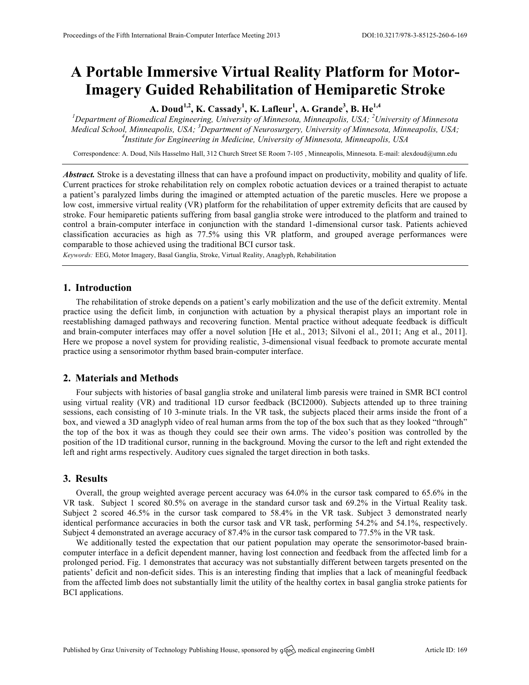# **A Portable Immersive Virtual Reality Platform for Motor-Imagery Guided Rehabilitation of Hemiparetic Stroke**

**A. Doud1,2, K. Cassady1 , K. Lafleur<sup>1</sup> , A. Grande<sup>3</sup> , B. He1,4**

*1 Department of Biomedical Engineering, University of Minnesota, Minneapolis, USA; <sup>2</sup> University of Minnesota Medical School, Minneapolis, USA; <sup>3</sup> Department of Neurosurgery, University of Minnesota, Minneapolis, USA; 4 Institute for Engineering in Medicine, University of Minnesota, Minneapolis, USA*

Correspondence: A. Doud, Nils Hasselmo Hall, 312 Church Street SE Room 7-105 , Minneapolis, Minnesota. E-mail: alexdoud@umn.edu

*Abstract.* Stroke is a devestating illness that can have a profound impact on productivity, mobility and quality of life. Current practices for stroke rehabilitation rely on complex robotic actuation devices or a trained therapist to actuate a patient's paralyzed limbs during the imagined or attempted actuation of the paretic muscles. Here we propose a low cost, immersive virtual reality (VR) platform for the rehabilitation of upper extremity deficits that are caused by stroke. Four hemiparetic patients suffering from basal ganglia stroke were introduced to the platform and trained to control a brain-computer interface in conjunction with the standard 1-dimensional cursor task. Patients achieved classification accuracies as high as 77.5% using this VR platform, and grouped average performances were comparable to those achieved using the traditional BCI cursor task.

*Keywords:* EEG, Motor Imagery, Basal Ganglia, Stroke, Virtual Reality, Anaglyph, Rehabilitation

## **1. Introduction**

The rehabilitation of stroke depends on a patient's early mobilization and the use of the deficit extremity. Mental practice using the deficit limb, in conjunction with actuation by a physical therapist plays an important role in reestablishing damaged pathways and recovering function. Mental practice without adequate feedback is difficult and brain-computer interfaces may offer a novel solution [He et al., 2013; Silvoni el al., 2011; Ang et al., 2011]. Here we propose a novel system for providing realistic, 3-dimensional visual feedback to promote accurate mental practice using a sensorimotor rhythm based brain-computer interface.

## **2. Materials and Methods**

Four subjects with histories of basal ganglia stroke and unilateral limb paresis were trained in SMR BCI control using virtual reality (VR) and traditional 1D cursor feedback (BCI2000). Subjects attended up to three training sessions, each consisting of 10 3-minute trials. In the VR task, the subjects placed their arms inside the front of a box, and viewed a 3D anaglyph video of real human arms from the top of the box such that as they looked "through" the top of the box it was as though they could see their own arms. The video's position was controlled by the position of the 1D traditional cursor, running in the background. Moving the cursor to the left and right extended the left and right arms respectively. Auditory cues signaled the target direction in both tasks.

### **3. Results**

Overall, the group weighted average percent accuracy was 64.0% in the cursor task compared to 65.6% in the VR task. Subject 1 scored 80.5% on average in the standard cursor task and 69.2% in the Virtual Reality task. Subject 2 scored 46.5% in the cursor task compared to 58.4% in the VR task. Subject 3 demonstrated nearly identical performance accuracies in both the cursor task and VR task, performing 54.2% and 54.1%, respectively. Subject 4 demonstrated an average accuracy of 87.4% in the cursor task compared to 77.5% in the VR task.

We additionally tested the expectation that our patient population may operate the sensorimotor-based braincomputer interface in a deficit dependent manner, having lost connection and feedback from the affected limb for a prolonged period. Fig. 1 demonstrates that accuracy was not substantially different between targets presented on the patients' deficit and non-deficit sides. This is an interesting finding that implies that a lack of meaningful feedback from the affected limb does not substantially limit the utility of the healthy cortex in basal ganglia stroke patients for BCI applications.